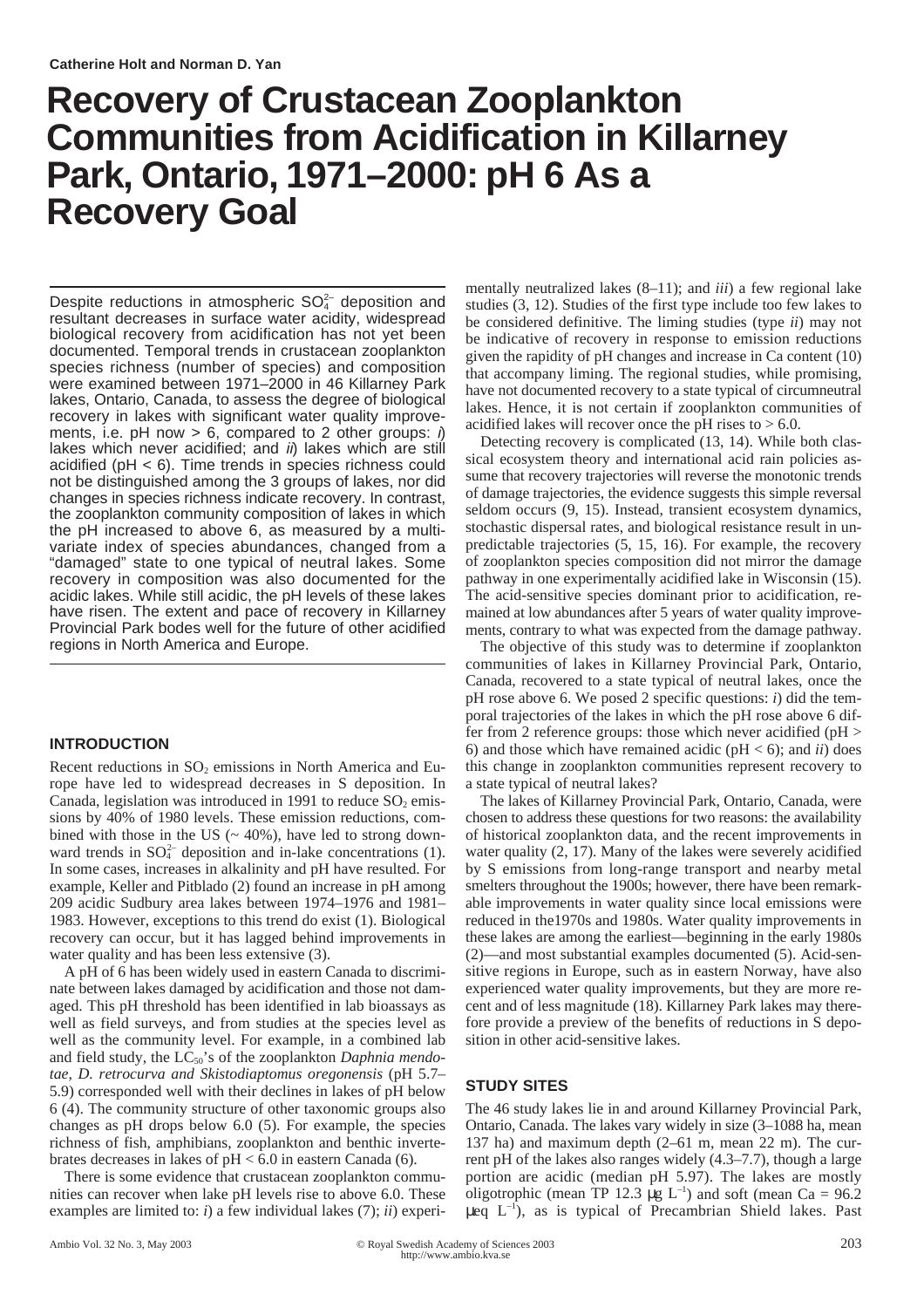# **Recovery of Crustacean Zooplankton Communities from Acidification in Killarney Park, Ontario, 1971–2000: pH 6 As a Recovery Goal**

Despite reductions in atmospheric  $SO<sub>4</sub><sup>2-</sup>$  deposition and resultant decreases in surface water acidity, widespread biological recovery from acidification has not yet been documented. Temporal trends in crustacean zooplankton species richness (number of species) and composition were examined between 1971–2000 in 46 Killarney Park lakes, Ontario, Canada, to assess the degree of biological recovery in lakes with significant water quality improvements, i.e. pH now  $> 6$ , compared to 2 other groups: i) lakes which never acidified; and  $i\hbar$  lakes which are still acidified (pH < 6). Time trends in species richness could not be distinguished among the 3 groups of lakes, nor did changes in species richness indicate recovery. In contrast, the zooplankton community composition of lakes in which the pH increased to above 6, as measured by a multivariate index of species abundances, changed from a "damaged" state to one typical of neutral lakes. Some recovery in composition was also documented for the acidic lakes. While still acidic, the pH levels of these lakes have risen. The extent and pace of recovery in Killarney Provincial Park bodes well for the future of other acidified regions in North America and Europe.

## **INTRODUCTION**

Recent reductions in SO<sub>2</sub> emissions in North America and Europe have led to widespread decreases in S deposition. In Canada, legislation was introduced in 1991 to reduce  $SO_2$  emissions by 40% of 1980 levels. These emission reductions, combined with those in the US  $($   $\sim$  40%), have led to strong downward trends in  $SO_4^{2-}$  deposition and in-lake concentrations (1). In some cases, increases in alkalinity and pH have resulted. For example, Keller and Pitblado (2) found an increase in pH among 209 acidic Sudbury area lakes between 1974–1976 and 1981– 1983. However, exceptions to this trend do exist (1). Biological recovery can occur, but it has lagged behind improvements in water quality and has been less extensive (3).

A pH of 6 has been widely used in eastern Canada to discriminate between lakes damaged by acidification and those not damaged. This pH threshold has been identified in lab bioassays as well as field surveys, and from studies at the species level as well as the community level. For example, in a combined lab and field study, the LC<sub>50</sub>'s of the zooplankton *Daphnia mendotae, D. retrocurva and Skistodiaptomus oregonensis* (pH 5.7– 5.9) corresponded well with their declines in lakes of pH below 6 (4). The community structure of other taxonomic groups also changes as pH drops below 6.0 (5). For example, the species richness of fish, amphibians, zooplankton and benthic invertebrates decreases in lakes of pH < 6.0 in eastern Canada (6).

There is some evidence that crustacean zooplankton communities can recover when lake pH levels rise to above 6.0. These examples are limited to: *i*) a few individual lakes (7); *ii*) experimentally neutralized lakes (8–11); and *iii*) a few regional lake studies (3, 12). Studies of the first type include too few lakes to be considered definitive. The liming studies (type *ii*) may not be indicative of recovery in response to emission reductions given the rapidity of pH changes and increase in Ca content (10) that accompany liming. The regional studies, while promising, have not documented recovery to a state typical of circumneutral lakes. Hence, it is not certain if zooplankton communities of acidified lakes will recover once the pH rises to  $> 6.0$ .

Detecting recovery is complicated (13, 14). While both classical ecosystem theory and international acid rain policies assume that recovery trajectories will reverse the monotonic trends of damage trajectories, the evidence suggests this simple reversal seldom occurs (9, 15). Instead, transient ecosystem dynamics, stochastic dispersal rates, and biological resistance result in unpredictable trajectories (5, 15, 16). For example, the recovery of zooplankton species composition did not mirror the damage pathway in one experimentally acidified lake in Wisconsin (15). The acid-sensitive species dominant prior to acidification, remained at low abundances after 5 years of water quality improvements, contrary to what was expected from the damage pathway.

The objective of this study was to determine if zooplankton communities of lakes in Killarney Provincial Park, Ontario, Canada, recovered to a state typical of neutral lakes, once the pH rose above 6. We posed 2 specific questions: *i*) did the temporal trajectories of the lakes in which the pH rose above 6 differ from 2 reference groups: those which never acidified ( $pH$ ) 6) and those which have remained acidic ( $pH < 6$ ); and *ii*) does this change in zooplankton communities represent recovery to a state typical of neutral lakes?

The lakes of Killarney Provincial Park, Ontario, Canada, were chosen to address these questions for two reasons: the availability of historical zooplankton data, and the recent improvements in water quality  $(2, 17)$ . Many of the lakes were severely acidified by S emissions from long-range transport and nearby metal smelters throughout the 1900s; however, there have been remarkable improvements in water quality since local emissions were reduced in the1970s and 1980s. Water quality improvements in these lakes are among the earliest—beginning in the early 1980s (2)—and most substantial examples documented (5). Acid-sensitive regions in Europe, such as in eastern Norway, have also experienced water quality improvements, but they are more recent and of less magnitude (18). Killarney Park lakes may therefore provide a preview of the benefits of reductions in S deposition in other acid-sensitive lakes.

## **STUDY SITES**

The 46 study lakes lie in and around Killarney Provincial Park, Ontario, Canada. The lakes vary widely in size (3–1088 ha, mean 137 ha) and maximum depth (2–61 m, mean 22 m). The current pH of the lakes also ranges widely (4.3–7.7), though a large portion are acidic (median pH 5.97). The lakes are mostly oligotrophic (mean TP 12.3  $\mu$ g L<sup>-1</sup>) and soft (mean Ca = 96.2)  $\mu$ eq  $L^{-1}$ ), as is typical of Precambrian Shield lakes. Past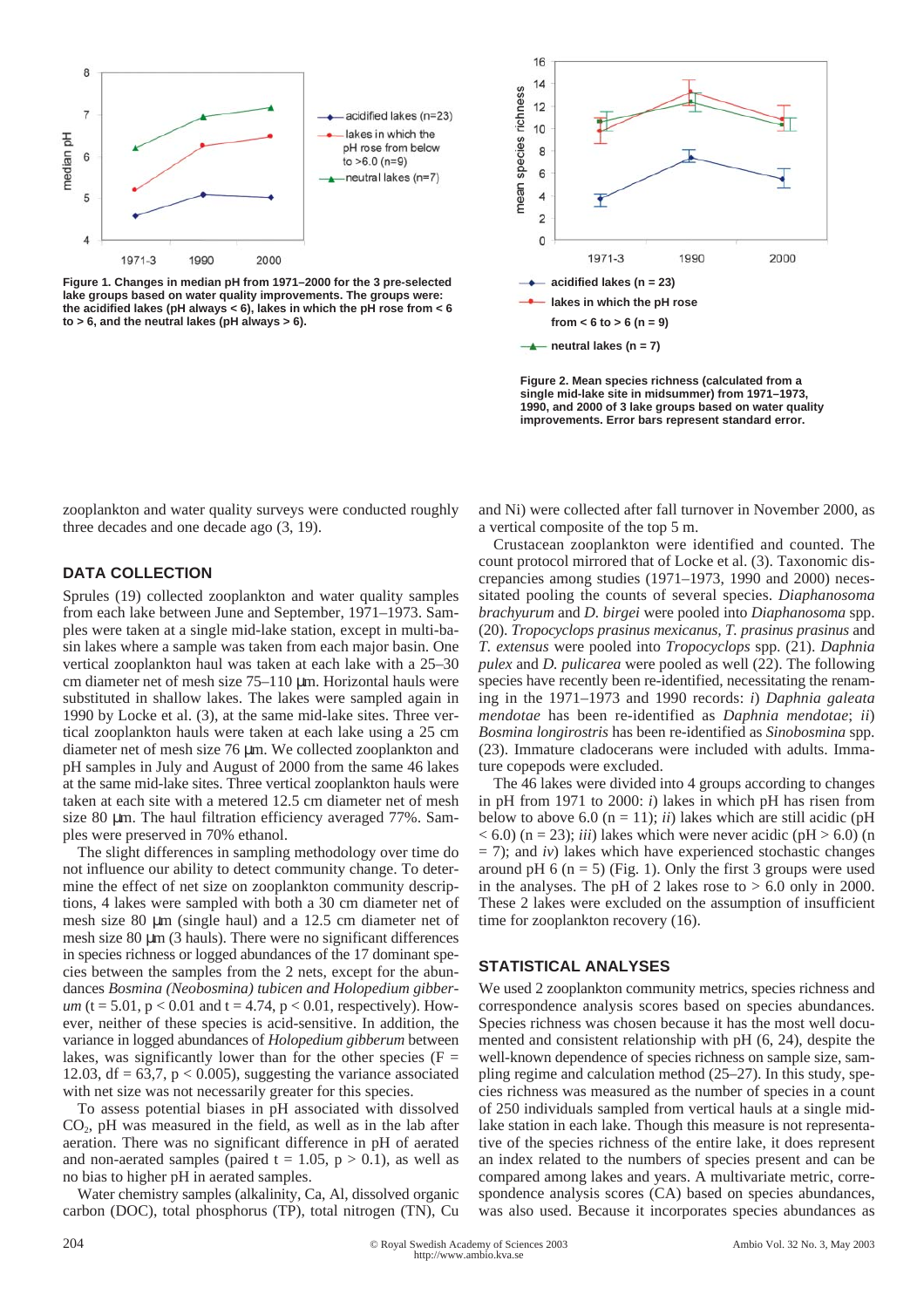

**Figure 1. Changes in median pH from 1971–2000 for the 3 pre-selected lake groups based on water quality improvements. The groups were: the acidified lakes (pH always < 6), lakes in which the pH rose from < 6 to > 6, and the neutral lakes (pH always > 6).**



**Figure 2. Mean species richness (calculated from a single mid-lake site in midsummer) from 1971–1973, 1990, and 2000 of 3 lake groups based on water quality improvements. Error bars represent standard error.**

zooplankton and water quality surveys were conducted roughly three decades and one decade ago (3, 19).

## **DATA COLLECTION**

Sprules (19) collected zooplankton and water quality samples from each lake between June and September, 1971–1973. Samples were taken at a single mid-lake station, except in multi-basin lakes where a sample was taken from each major basin. One vertical zooplankton haul was taken at each lake with a 25–30 cm diameter net of mesh size 75–110 µm. Horizontal hauls were substituted in shallow lakes. The lakes were sampled again in 1990 by Locke et al. (3), at the same mid-lake sites. Three vertical zooplankton hauls were taken at each lake using a 25 cm diameter net of mesh size 76 µm. We collected zooplankton and pH samples in July and August of 2000 from the same 46 lakes at the same mid-lake sites. Three vertical zooplankton hauls were taken at each site with a metered 12.5 cm diameter net of mesh size 80  $\mu$ m. The haul filtration efficiency averaged 77%. Samples were preserved in 70% ethanol.

The slight differences in sampling methodology over time do not influence our ability to detect community change. To determine the effect of net size on zooplankton community descriptions, 4 lakes were sampled with both a 30 cm diameter net of mesh size 80 µm (single haul) and a 12.5 cm diameter net of mesh size 80 µm (3 hauls). There were no significant differences in species richness or logged abundances of the 17 dominant species between the samples from the 2 nets, except for the abundances *Bosmina (Neobosmina) tubicen and Holopedium gibberum* ( $t = 5.01$ ,  $p < 0.01$  and  $t = 4.74$ ,  $p < 0.01$ , respectively). However, neither of these species is acid-sensitive. In addition, the variance in logged abundances of *Holopedium gibberum* between lakes, was significantly lower than for the other species ( $F =$ 12.03, df =  $63,7$ , p < 0.005), suggesting the variance associated with net size was not necessarily greater for this species.

To assess potential biases in pH associated with dissolved CO<sub>2</sub>, pH was measured in the field, as well as in the lab after aeration. There was no significant difference in pH of aerated and non-aerated samples (paired  $t = 1.05$ ,  $p > 0.1$ ), as well as no bias to higher pH in aerated samples.

Water chemistry samples (alkalinity, Ca, Al, dissolved organic carbon (DOC), total phosphorus (TP), total nitrogen (TN), Cu

and Ni) were collected after fall turnover in November 2000, as a vertical composite of the top 5 m.

Crustacean zooplankton were identified and counted. The count protocol mirrored that of Locke et al. (3). Taxonomic discrepancies among studies (1971–1973, 1990 and 2000) necessitated pooling the counts of several species. *Diaphanosoma brachyurum* and *D. birgei* were pooled into *Diaphanosoma* spp. (20). *Tropocyclops prasinus mexicanus, T. prasinus prasinus* and *T. extensus* were pooled into *Tropocyclops* spp. (21). *Daphnia pulex* and *D. pulicarea* were pooled as well (22). The following species have recently been re-identified, necessitating the renaming in the 1971–1973 and 1990 records: *i*) *Daphnia galeata mendotae* has been re-identified as *Daphnia mendotae*; *ii*) *Bosmina longirostris* has been re-identified as *Sinobosmina* spp. (23). Immature cladocerans were included with adults. Immature copepods were excluded.

The 46 lakes were divided into 4 groups according to changes in pH from 1971 to 2000: *i*) lakes in which pH has risen from below to above 6.0 ( $n = 11$ ); *ii*) lakes which are still acidic ( $pH$  $<$  6.0) (n = 23); *iii*) lakes which were never acidic (pH  $>$  6.0) (n  $= 7$ ); and *iv*) lakes which have experienced stochastic changes around pH 6 ( $n = 5$ ) (Fig. 1). Only the first 3 groups were used in the analyses. The pH of 2 lakes rose to  $> 6.0$  only in 2000. These 2 lakes were excluded on the assumption of insufficient time for zooplankton recovery (16).

### **STATISTICAL ANALYSES**

We used 2 zooplankton community metrics, species richness and correspondence analysis scores based on species abundances. Species richness was chosen because it has the most well documented and consistent relationship with pH (6, 24), despite the well-known dependence of species richness on sample size, sampling regime and calculation method (25–27). In this study, species richness was measured as the number of species in a count of 250 individuals sampled from vertical hauls at a single midlake station in each lake. Though this measure is not representative of the species richness of the entire lake, it does represent an index related to the numbers of species present and can be compared among lakes and years. A multivariate metric, correspondence analysis scores (CA) based on species abundances, was also used. Because it incorporates species abundances as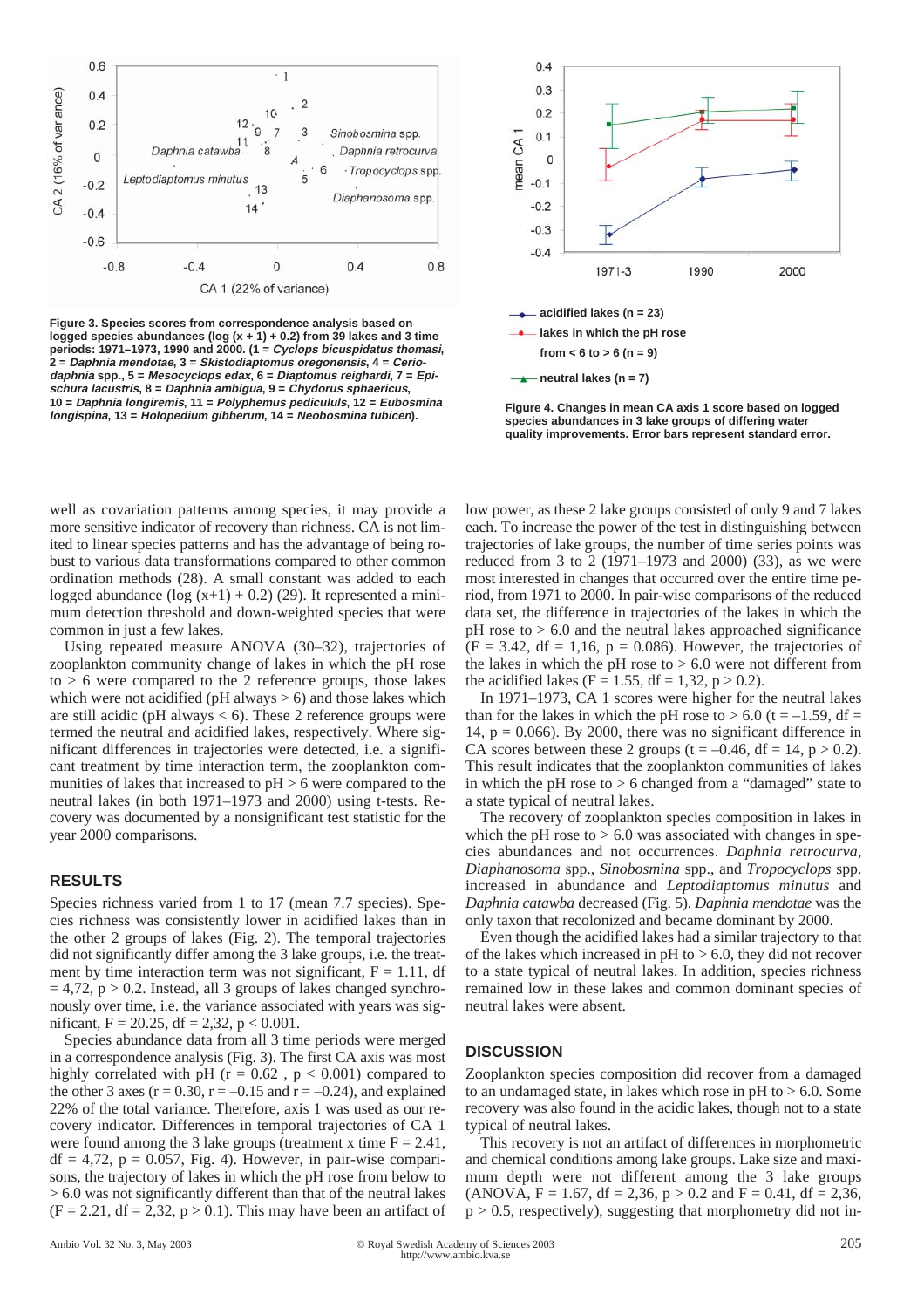

**Figure 3. Species scores from correspondence analysis based on logged species abundances (log (x + 1) + 0.2) from 39 lakes and 3 time periods: 1971–1973, 1990 and 2000. (1 = Cyclops bicuspidatus thomasi, 2 = Daphnia mendotae, 3 = Skistodiaptomus oregonensis, 4 = Ceriodaphnia spp., 5 = Mesocyclops edax, 6 = Diaptomus reighardi, 7 = Epischura lacustris, 8 = Daphnia ambigua, 9 = Chydorus sphaericus, 10 = Daphnia longiremis, 11 = Polyphemus pedicululs, 12 = Eubosmina longispina, 13 = Holopedium gibberum, 14 = Neobosmina tubicen).**



**Figure 4. Changes in mean CA axis 1 score based on logged species abundances in 3 lake groups of differing water quality improvements. Error bars represent standard error.**

well as covariation patterns among species, it may provide a more sensitive indicator of recovery than richness. CA is not limited to linear species patterns and has the advantage of being robust to various data transformations compared to other common ordination methods (28). A small constant was added to each logged abundance  $(log(x+1) + 0.2)$  (29). It represented a minimum detection threshold and down-weighted species that were common in just a few lakes.

Using repeated measure ANOVA (30–32), trajectories of zooplankton community change of lakes in which the pH rose  $to$  > 6 were compared to the 2 reference groups, those lakes which were not acidified ( $pH$  always  $> 6$ ) and those lakes which are still acidic (pH always  $< 6$ ). These 2 reference groups were termed the neutral and acidified lakes, respectively. Where significant differences in trajectories were detected, i.e. a significant treatment by time interaction term, the zooplankton communities of lakes that increased to  $pH > 6$  were compared to the neutral lakes (in both 1971–1973 and 2000) using t-tests. Recovery was documented by a nonsignificant test statistic for the year 2000 comparisons.

## **RESULTS**

Species richness varied from 1 to 17 (mean 7.7 species). Species richness was consistently lower in acidified lakes than in the other 2 groups of lakes (Fig. 2). The temporal trajectories did not significantly differ among the 3 lake groups, i.e. the treatment by time interaction term was not significant,  $F = 1.11$ , df  $= 4,72$ ,  $p > 0.2$ . Instead, all 3 groups of lakes changed synchronously over time, i.e. the variance associated with years was significant, F = 20.25, df = 2,32, p < 0.001.

Species abundance data from all 3 time periods were merged in a correspondence analysis (Fig. 3). The first CA axis was most highly correlated with pH ( $r = 0.62$ ,  $p < 0.001$ ) compared to the other 3 axes ( $r = 0.30$ ,  $r = -0.15$  and  $r = -0.24$ ), and explained 22% of the total variance. Therefore, axis 1 was used as our recovery indicator. Differences in temporal trajectories of CA 1 were found among the 3 lake groups (treatment x time  $F = 2.41$ ,  $df = 4.72$ ,  $p = 0.057$ , Fig. 4). However, in pair-wise comparisons, the trajectory of lakes in which the pH rose from below to > 6.0 was not significantly different than that of the neutral lakes  $(F = 2.21, df = 2.32, p > 0.1)$ . This may have been an artifact of low power, as these 2 lake groups consisted of only 9 and 7 lakes each. To increase the power of the test in distinguishing between trajectories of lake groups, the number of time series points was reduced from 3 to 2 (1971–1973 and 2000) (33), as we were most interested in changes that occurred over the entire time period, from 1971 to 2000. In pair-wise comparisons of the reduced data set, the difference in trajectories of the lakes in which the  $pH$  rose to  $> 6.0$  and the neutral lakes approached significance  $(F = 3.42, df = 1,16, p = 0.086)$ . However, the trajectories of the lakes in which the pH rose to  $> 6.0$  were not different from the acidified lakes (F = 1.55, df = 1,32, p > 0.2).

In 1971–1973, CA 1 scores were higher for the neutral lakes than for the lakes in which the pH rose to  $> 6.0$  (t = -1.59, df = 14,  $p = 0.066$ . By 2000, there was no significant difference in CA scores between these 2 groups ( $t = -0.46$ ,  $df = 14$ ,  $p > 0.2$ ). This result indicates that the zooplankton communities of lakes in which the pH rose to  $> 6$  changed from a "damaged" state to a state typical of neutral lakes.

The recovery of zooplankton species composition in lakes in which the pH rose to  $> 6.0$  was associated with changes in species abundances and not occurrences. *Daphnia retrocurva*, *Diaphanosoma* spp., *Sinobosmina* spp., and *Tropocyclops* spp. increased in abundance and *Leptodiaptomus minutus* and *Daphnia catawba* decreased (Fig. 5). *Daphnia mendotae* was the only taxon that recolonized and became dominant by 2000.

Even though the acidified lakes had a similar trajectory to that of the lakes which increased in  $pH$  to  $> 6.0$ , they did not recover to a state typical of neutral lakes. In addition, species richness remained low in these lakes and common dominant species of neutral lakes were absent.

### **DISCUSSION**

Zooplankton species composition did recover from a damaged to an undamaged state, in lakes which rose in  $pH$  to  $> 6.0$ . Some recovery was also found in the acidic lakes, though not to a state typical of neutral lakes.

This recovery is not an artifact of differences in morphometric and chemical conditions among lake groups. Lake size and maximum depth were not different among the 3 lake groups (ANOVA,  $F = 1.67$ , df = 2,36,  $p > 0.2$  and  $F = 0.41$ , df = 2,36,  $p > 0.5$ , respectively), suggesting that morphometry did not in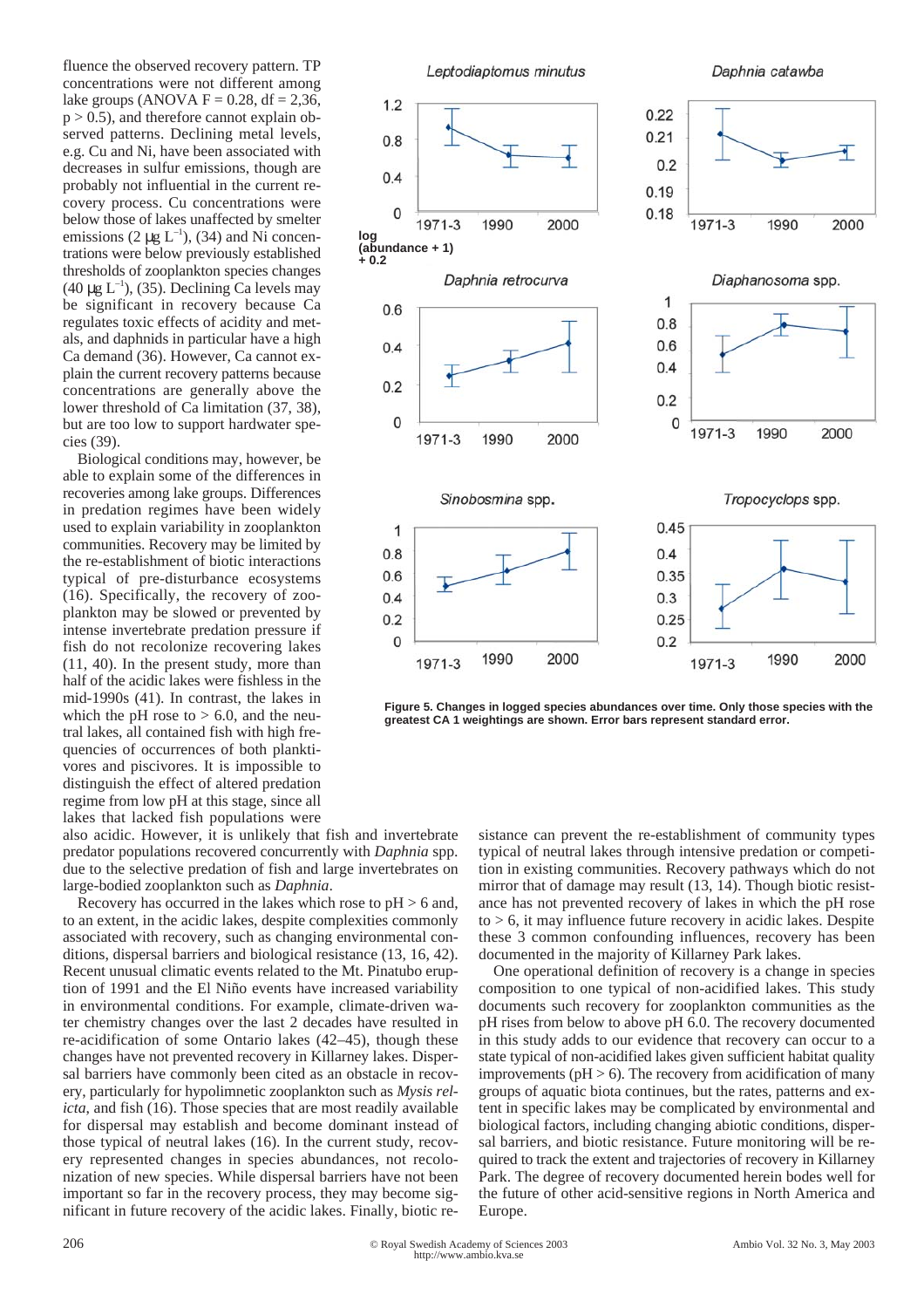fluence the observed recovery pattern. TP concentrations were not different among lake groups (ANOVA  $F = 0.28$ , df = 2.36,  $p > 0.5$ ), and therefore cannot explain observed patterns. Declining metal levels, e.g. Cu and Ni, have been associated with decreases in sulfur emissions, though are probably not influential in the current recovery process. Cu concentrations were below those of lakes unaffected by smelter emissions (2  $\mu$ g L<sup>-1</sup>), (34) and Ni concentrations were below previously established thresholds of zooplankton species changes  $(40 \mu g L^{-1})$ , (35). Declining Ca levels may be significant in recovery because Ca regulates toxic effects of acidity and metals, and daphnids in particular have a high Ca demand (36). However, Ca cannot explain the current recovery patterns because concentrations are generally above the lower threshold of Ca limitation (37, 38), but are too low to support hardwater species (39).

Biological conditions may, however, be able to explain some of the differences in recoveries among lake groups. Differences in predation regimes have been widely used to explain variability in zooplankton communities. Recovery may be limited by the re-establishment of biotic interactions typical of pre-disturbance ecosystems (16). Specifically, the recovery of zooplankton may be slowed or prevented by intense invertebrate predation pressure if fish do not recolonize recovering lakes (11, 40). In the present study, more than half of the acidic lakes were fishless in the mid-1990s (41). In contrast, the lakes in which the pH rose to  $> 6.0$ , and the neutral lakes, all contained fish with high frequencies of occurrences of both planktivores and piscivores. It is impossible to distinguish the effect of altered predation regime from low pH at this stage, since all lakes that lacked fish populations were

also acidic. However, it is unlikely that fish and invertebrate predator populations recovered concurrently with *Daphnia* spp. due to the selective predation of fish and large invertebrates on large-bodied zooplankton such as *Daphnia*.

Recovery has occurred in the lakes which rose to  $pH > 6$  and, to an extent, in the acidic lakes, despite complexities commonly associated with recovery, such as changing environmental conditions, dispersal barriers and biological resistance (13, 16, 42). Recent unusual climatic events related to the Mt. Pinatubo eruption of 1991 and the El Niño events have increased variability in environmental conditions. For example, climate-driven water chemistry changes over the last 2 decades have resulted in re-acidification of some Ontario lakes (42–45), though these changes have not prevented recovery in Killarney lakes. Dispersal barriers have commonly been cited as an obstacle in recovery, particularly for hypolimnetic zooplankton such as *Mysis relicta*, and fish (16). Those species that are most readily available for dispersal may establish and become dominant instead of those typical of neutral lakes (16). In the current study, recovery represented changes in species abundances, not recolonization of new species. While dispersal barriers have not been important so far in the recovery process, they may become significant in future recovery of the acidic lakes. Finally, biotic re-



**Figure 5. Changes in logged species abundances over time. Only those species with the greatest CA 1 weightings are shown. Error bars represent standard error.**

sistance can prevent the re-establishment of community types typical of neutral lakes through intensive predation or competition in existing communities. Recovery pathways which do not mirror that of damage may result (13, 14). Though biotic resistance has not prevented recovery of lakes in which the pH rose  $to$  > 6, it may influence future recovery in acidic lakes. Despite these 3 common confounding influences, recovery has been documented in the majority of Killarney Park lakes.

One operational definition of recovery is a change in species composition to one typical of non-acidified lakes. This study documents such recovery for zooplankton communities as the pH rises from below to above pH 6.0. The recovery documented in this study adds to our evidence that recovery can occur to a state typical of non-acidified lakes given sufficient habitat quality improvements ( $pH > 6$ ). The recovery from acidification of many groups of aquatic biota continues, but the rates, patterns and extent in specific lakes may be complicated by environmental and biological factors, including changing abiotic conditions, dispersal barriers, and biotic resistance. Future monitoring will be required to track the extent and trajectories of recovery in Killarney Park. The degree of recovery documented herein bodes well for the future of other acid-sensitive regions in North America and Europe.